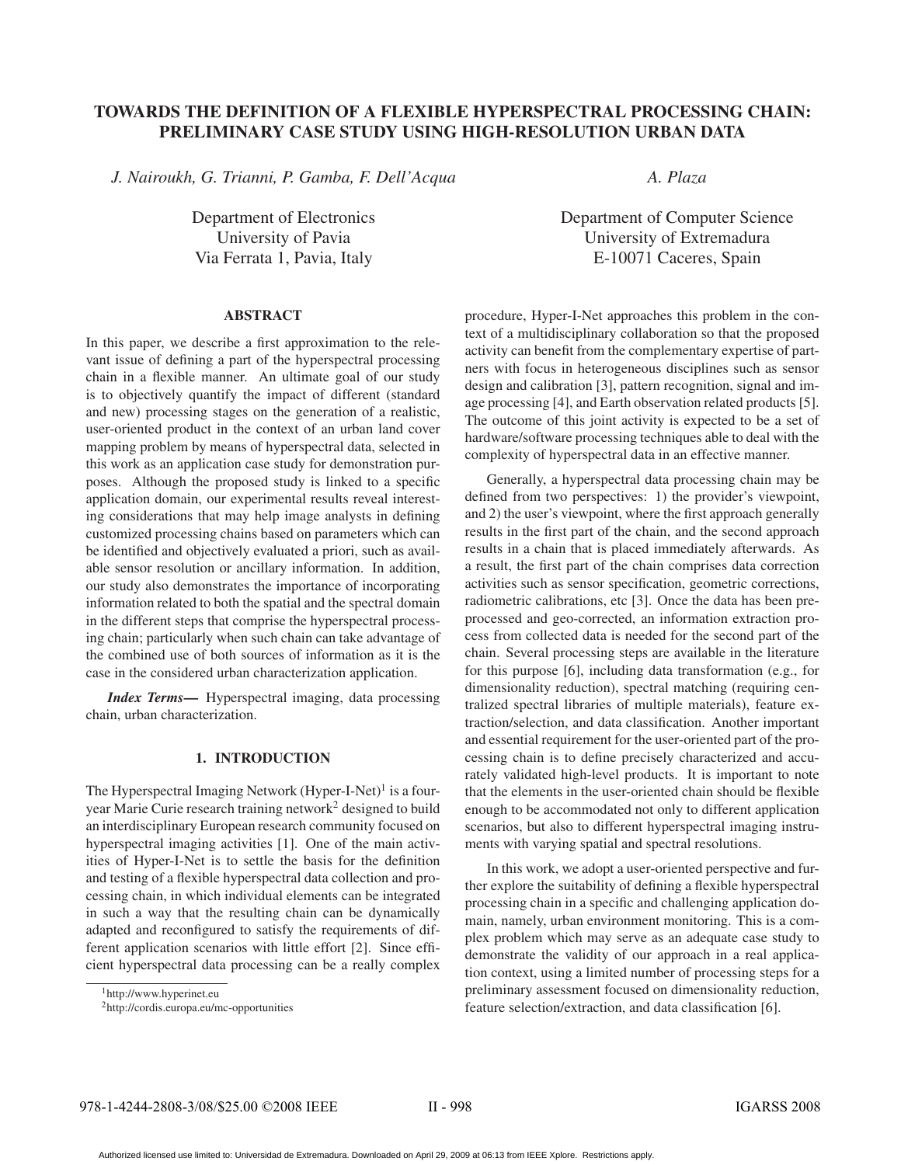# TOWARDS THE DEFINITION OF A FLEXIBLE HYPERSPECTRAL PROCESSING CHAIN: PRELIMINARY CASE STUDY USING HIGH-RESOLUTION URBAN DATA

*J. Nairoukh, G. Trianni, P. Gamba, F. Dell'Acqua*

Department of Electronics University of Pavia Via Ferrata 1, Pavia, Italy

*A. Plaza*

Department of Computer Science

University of Extremadura E-10071 Caceres, Spain

# ABSTRACT

In this paper, we describe a first approximation to the relevant issue of defining a part of the hyperspectral processing chain in a flexible manner. An ultimate goal of our study is to objectively quantify the impact of different (standard and new) processing stages on the generation of a realistic, user-oriented product in the context of an urban land cover mapping problem by means of hyperspectral data, selected in this work as an application case study for demonstration purposes. Although the proposed study is linked to a specific application domain, our experimental results reveal interesting considerations that may help image analysts in defining customized processing chains based on parameters which can be identified and objectively evaluated a priori, such as available sensor resolution or ancillary information. In addition, our study also demonstrates the importance of incorporating information related to both the spatial and the spectral domain in the different steps that comprise the hyperspectral processing chain; particularly when such chain can take advantage of the combined use of both sources of information as it is the case in the considered urban characterization application.

*Index Terms*— Hyperspectral imaging, data processing chain, urban characterization.

### 1. INTRODUCTION

The Hyperspectral Imaging Network (Hyper-I-Net)<sup>1</sup> is a fouryear Marie Curie research training network<sup>2</sup> designed to build an interdisciplinary European research community focused on hyperspectral imaging activities [1]. One of the main activities of Hyper-I-Net is to settle the basis for the definition and testing of a flexible hyperspectral data collection and processing chain, in which individual elements can be integrated in such a way that the resulting chain can be dynamically adapted and reconfigured to satisfy the requirements of different application scenarios with little effort [2]. Since efficient hyperspectral data processing can be a really complex

1http://www.hyperinet.eu

procedure, Hyper-I-Net approaches this problem in the context of a multidisciplinary collaboration so that the proposed activity can benefit from the complementary expertise of partners with focus in heterogeneous disciplines such as sensor design and calibration [3], pattern recognition, signal and image processing [4], and Earth observation related products [5]. The outcome of this joint activity is expected to be a set of hardware/software processing techniques able to deal with the complexity of hyperspectral data in an effective manner.

Generally, a hyperspectral data processing chain may be defined from two perspectives: 1) the provider's viewpoint, and 2) the user's viewpoint, where the first approach generally results in the first part of the chain, and the second approach results in a chain that is placed immediately afterwards. As a result, the first part of the chain comprises data correction activities such as sensor specification, geometric corrections, radiometric calibrations, etc [3]. Once the data has been preprocessed and geo-corrected, an information extraction process from collected data is needed for the second part of the chain. Several processing steps are available in the literature for this purpose [6], including data transformation (e.g., for dimensionality reduction), spectral matching (requiring centralized spectral libraries of multiple materials), feature extraction/selection, and data classification. Another important and essential requirement for the user-oriented part of the processing chain is to define precisely characterized and accurately validated high-level products. It is important to note that the elements in the user-oriented chain should be flexible enough to be accommodated not only to different application scenarios, but also to different hyperspectral imaging instruments with varying spatial and spectral resolutions.

In this work, we adopt a user-oriented perspective and further explore the suitability of defining a flexible hyperspectral processing chain in a specific and challenging application domain, namely, urban environment monitoring. This is a complex problem which may serve as an adequate case study to demonstrate the validity of our approach in a real application context, using a limited number of processing steps for a preliminary assessment focused on dimensionality reduction, feature selection/extraction, and data classification [6].

<sup>2</sup>http://cordis.europa.eu/mc-opportunities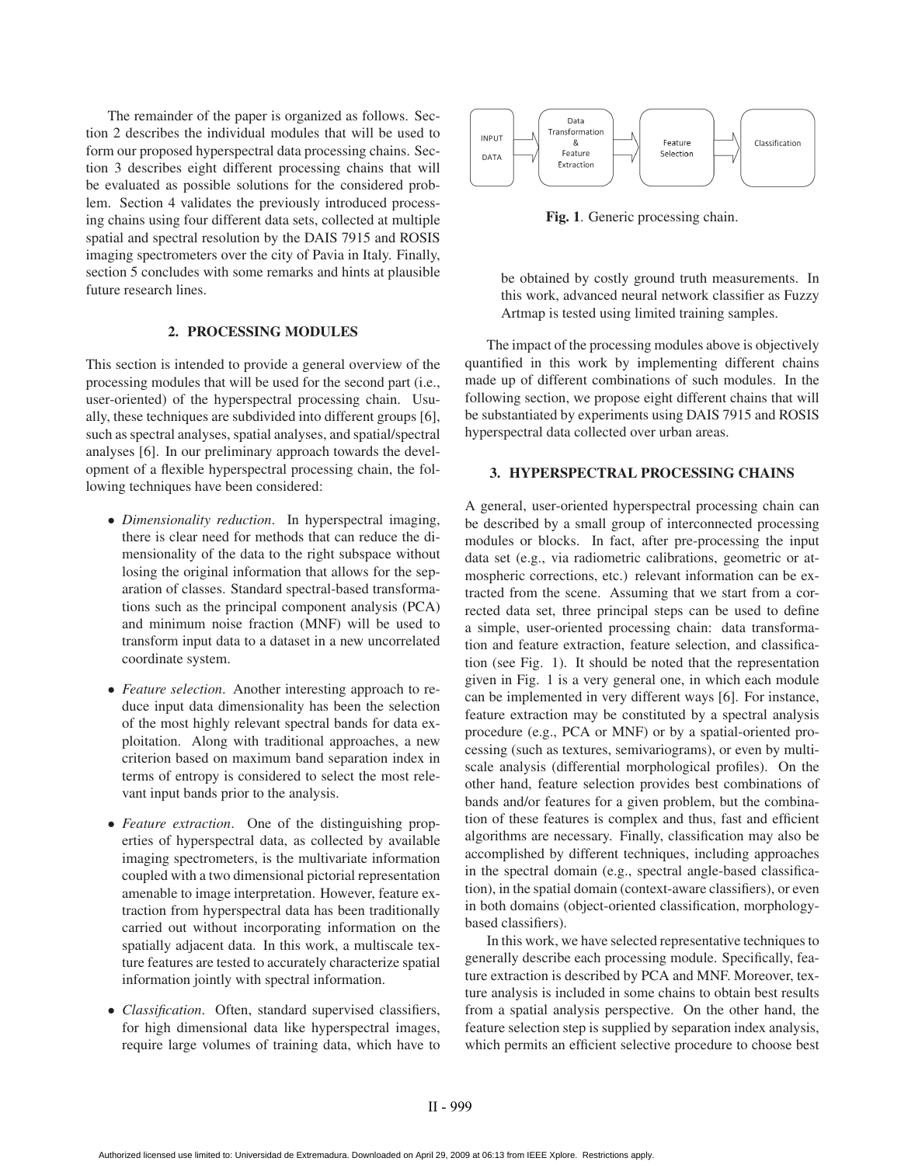The remainder of the paper is organized as follows. Section 2 describes the individual modules that will be used to form our proposed hyperspectral data processing chains. Section 3 describes eight different processing chains that will be evaluated as possible solutions for the considered problem. Section 4 validates the previously introduced processing chains using four different data sets, collected at multiple spatial and spectral resolution by the DAIS 7915 and ROSIS imaging spectrometers over the city of Pavia in Italy. Finally, section 5 concludes with some remarks and hints at plausible future research lines.

# 2. PROCESSING MODULES

This section is intended to provide a general overview of the processing modules that will be used for the second part (i.e., user-oriented) of the hyperspectral processing chain. Usually, these techniques are subdivided into different groups [6], such as spectral analyses, spatial analyses, and spatial/spectral analyses [6]. In our preliminary approach towards the development of a flexible hyperspectral processing chain, the following techniques have been considered:

- *Dimensionality reduction*. In hyperspectral imaging, there is clear need for methods that can reduce the dimensionality of the data to the right subspace without losing the original information that allows for the separation of classes. Standard spectral-based transformations such as the principal component analysis (PCA) and minimum noise fraction (MNF) will be used to transform input data to a dataset in a new uncorrelated coordinate system.
- *Feature selection*. Another interesting approach to reduce input data dimensionality has been the selection of the most highly relevant spectral bands for data exploitation. Along with traditional approaches, a new criterion based on maximum band separation index in terms of entropy is considered to select the most relevant input bands prior to the analysis.
- *Feature extraction*. One of the distinguishing properties of hyperspectral data, as collected by available imaging spectrometers, is the multivariate information coupled with a two dimensional pictorial representation amenable to image interpretation. However, feature extraction from hyperspectral data has been traditionally carried out without incorporating information on the spatially adjacent data. In this work, a multiscale texture features are tested to accurately characterize spatial information jointly with spectral information.
- *Classification*. Often, standard supervised classifiers, for high dimensional data like hyperspectral images, require large volumes of training data, which have to



Fig. 1. Generic processing chain.

be obtained by costly ground truth measurements. In this work, advanced neural network classifier as Fuzzy Artmap is tested using limited training samples.

The impact of the processing modules above is objectively quantified in this work by implementing different chains made up of different combinations of such modules. In the following section, we propose eight different chains that will be substantiated by experiments using DAIS 7915 and ROSIS hyperspectral data collected over urban areas.

## 3. HYPERSPECTRAL PROCESSING CHAINS

A general, user-oriented hyperspectral processing chain can be described by a small group of interconnected processing modules or blocks. In fact, after pre-processing the input data set (e.g., via radiometric calibrations, geometric or atmospheric corrections, etc.) relevant information can be extracted from the scene. Assuming that we start from a corrected data set, three principal steps can be used to define a simple, user-oriented processing chain: data transformation and feature extraction, feature selection, and classification (see Fig. 1). It should be noted that the representation given in Fig. 1 is a very general one, in which each module can be implemented in very different ways [6]. For instance, feature extraction may be constituted by a spectral analysis procedure (e.g., PCA or MNF) or by a spatial-oriented processing (such as textures, semivariograms), or even by multiscale analysis (differential morphological profiles). On the other hand, feature selection provides best combinations of bands and/or features for a given problem, but the combination of these features is complex and thus, fast and efficient algorithms are necessary. Finally, classification may also be accomplished by different techniques, including approaches in the spectral domain (e.g., spectral angle-based classification), in the spatial domain (context-aware classifiers), or even in both domains (object-oriented classification, morphologybased classifiers).

In this work, we have selected representative techniques to generally describe each processing module. Specifically, feature extraction is described by PCA and MNF. Moreover, texture analysis is included in some chains to obtain best results from a spatial analysis perspective. On the other hand, the feature selection step is supplied by separation index analysis, which permits an efficient selective procedure to choose best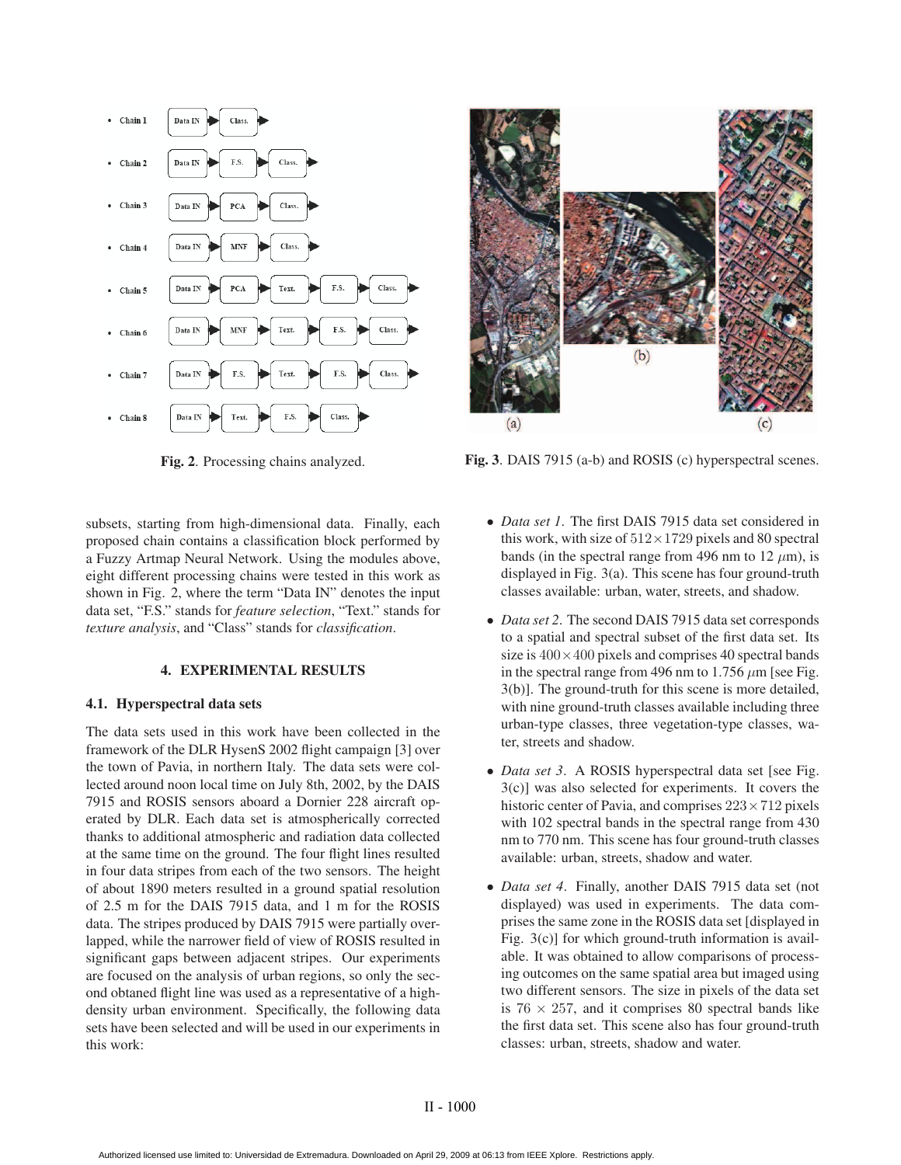

Fig. 2. Processing chains analyzed.

subsets, starting from high-dimensional data. Finally, each proposed chain contains a classification block performed by a Fuzzy Artmap Neural Network. Using the modules above, eight different processing chains were tested in this work as shown in Fig. 2, where the term "Data IN" denotes the input data set, "F.S." stands for *feature selection*, "Text." stands for *texture analysis*, and "Class" stands for *classification*.

# 4. EXPERIMENTAL RESULTS

#### 4.1. Hyperspectral data sets

The data sets used in this work have been collected in the framework of the DLR HysenS 2002 flight campaign [3] over the town of Pavia, in northern Italy. The data sets were collected around noon local time on July 8th, 2002, by the DAIS 7915 and ROSIS sensors aboard a Dornier 228 aircraft operated by DLR. Each data set is atmospherically corrected thanks to additional atmospheric and radiation data collected at the same time on the ground. The four flight lines resulted in four data stripes from each of the two sensors. The height of about 1890 meters resulted in a ground spatial resolution of 2.5 m for the DAIS 7915 data, and 1 m for the ROSIS data. The stripes produced by DAIS 7915 were partially overlapped, while the narrower field of view of ROSIS resulted in significant gaps between adjacent stripes. Our experiments are focused on the analysis of urban regions, so only the second obtaned flight line was used as a representative of a highdensity urban environment. Specifically, the following data sets have been selected and will be used in our experiments in this work:



Fig. 3. DAIS 7915 (a-b) and ROSIS (c) hyperspectral scenes.

- *Data set 1*. The first DAIS 7915 data set considered in this work, with size of  $512\times1729$  pixels and 80 spectral bands (in the spectral range from 496 nm to 12  $\mu$ m), is displayed in Fig. 3(a). This scene has four ground-truth classes available: urban, water, streets, and shadow.
- *Data set 2*. The second DAIS 7915 data set corresponds to a spatial and spectral subset of the first data set. Its size is  $400 \times 400$  pixels and comprises 40 spectral bands in the spectral range from 496 nm to 1.756  $\mu$ m [see Fig. 3(b)]. The ground-truth for this scene is more detailed, with nine ground-truth classes available including three urban-type classes, three vegetation-type classes, water, streets and shadow.
- *Data set 3.* A ROSIS hyperspectral data set [see Fig. 3(c)] was also selected for experiments. It covers the historic center of Pavia, and comprises  $223 \times 712$  pixels with 102 spectral bands in the spectral range from 430 nm to 770 nm. This scene has four ground-truth classes available: urban, streets, shadow and water.
- *Data set 4*. Finally, another DAIS 7915 data set (not displayed) was used in experiments. The data comprises the same zone in the ROSIS data set [displayed in Fig. 3(c)] for which ground-truth information is available. It was obtained to allow comparisons of processing outcomes on the same spatial area but imaged using two different sensors. The size in pixels of the data set is  $76 \times 257$ , and it comprises 80 spectral bands like the first data set. This scene also has four ground-truth classes: urban, streets, shadow and water.